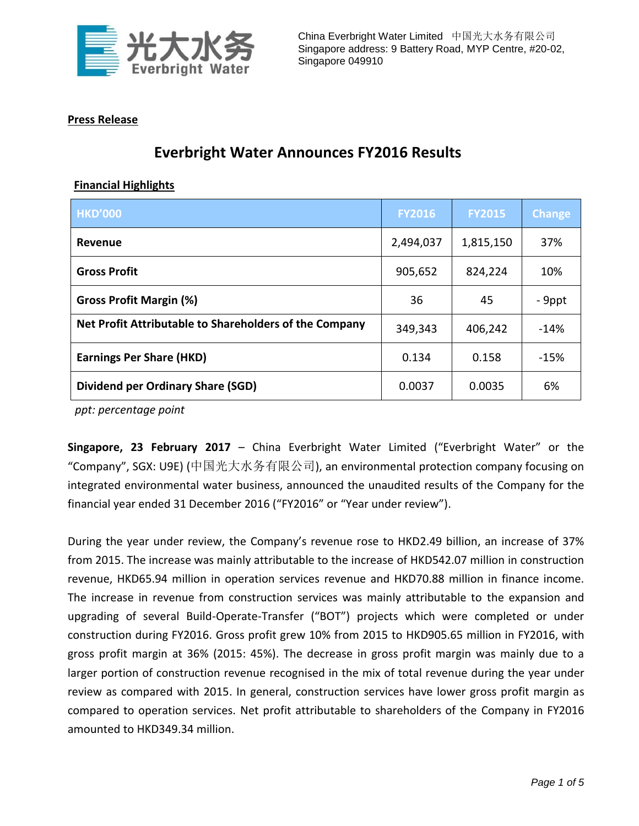

## **Press Release**

## **Everbright Water Announces FY2016 Results**

## **Financial Highlights**

| <b>HKD'000</b>                                         | <b>FY2016</b> | <b>FY2015</b> | <b>Change</b> |
|--------------------------------------------------------|---------------|---------------|---------------|
| Revenue                                                | 2,494,037     | 1,815,150     | 37%           |
| <b>Gross Profit</b>                                    | 905,652       | 824,224       | 10%           |
| <b>Gross Profit Margin (%)</b>                         | 36            | 45            | - 9ppt        |
| Net Profit Attributable to Shareholders of the Company | 349,343       | 406,242       | $-14%$        |
| <b>Earnings Per Share (HKD)</b>                        | 0.134         | 0.158         | $-15%$        |
| <b>Dividend per Ordinary Share (SGD)</b>               | 0.0037        | 0.0035        | 6%            |

*ppt: percentage point* 

**Singapore, 23 February 2017** – China Everbright Water Limited ("Everbright Water" or the "Company", SGX: U9E) (中国光大水务有限公司), an environmental protection company focusing on integrated environmental water business, announced the unaudited results of the Company for the financial year ended 31 December 2016 ("FY2016" or "Year under review").

During the year under review, the Company's revenue rose to HKD2.49 billion, an increase of 37% from 2015. The increase was mainly attributable to the increase of HKD542.07 million in construction revenue, HKD65.94 million in operation services revenue and HKD70.88 million in finance income. The increase in revenue from construction services was mainly attributable to the expansion and upgrading of several Build-Operate-Transfer ("BOT") projects which were completed or under construction during FY2016. Gross profit grew 10% from 2015 to HKD905.65 million in FY2016, with gross profit margin at 36% (2015: 45%). The decrease in gross profit margin was mainly due to a larger portion of construction revenue recognised in the mix of total revenue during the year under review as compared with 2015. In general, construction services have lower gross profit margin as compared to operation services. Net profit attributable to shareholders of the Company in FY2016 amounted to HKD349.34 million.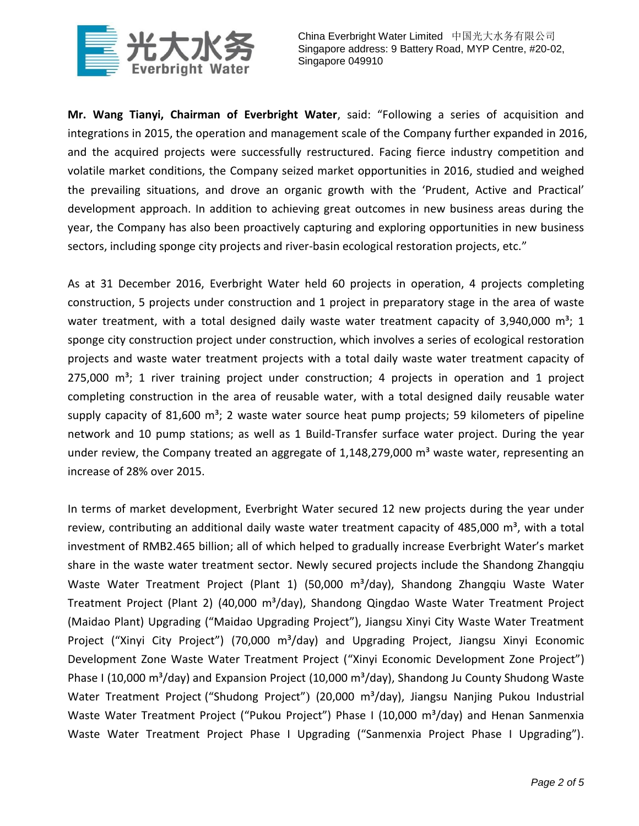

**Mr. Wang Tianyi, Chairman of Everbright Water**, said: "Following a series of acquisition and integrations in 2015, the operation and management scale of the Company further expanded in 2016, and the acquired projects were successfully restructured. Facing fierce industry competition and volatile market conditions, the Company seized market opportunities in 2016, studied and weighed the prevailing situations, and drove an organic growth with the 'Prudent, Active and Practical' development approach. In addition to achieving great outcomes in new business areas during the year, the Company has also been proactively capturing and exploring opportunities in new business sectors, including sponge city projects and river-basin ecological restoration projects, etc."

As at 31 December 2016, Everbright Water held 60 projects in operation, 4 projects completing construction, 5 projects under construction and 1 project in preparatory stage in the area of waste water treatment, with a total designed daily waste water treatment capacity of 3,940,000  $m^3$ ; 1 sponge city construction project under construction, which involves a series of ecological restoration projects and waste water treatment projects with a total daily waste water treatment capacity of  $275,000$  m<sup>3</sup>; 1 river training project under construction; 4 projects in operation and 1 project completing construction in the area of reusable water, with a total designed daily reusable water supply capacity of 81,600  $\text{m}^3$ ; 2 waste water source heat pump projects; 59 kilometers of pipeline network and 10 pump stations; as well as 1 Build-Transfer surface water project. During the year under review, the Company treated an aggregate of  $1,148,279,000$  m<sup>3</sup> waste water, representing an increase of 28% over 2015.

In terms of market development, Everbright Water secured 12 new projects during the year under review, contributing an additional daily waste water treatment capacity of 485,000  $m^3$ , with a total investment of RMB2.465 billion; all of which helped to gradually increase Everbright Water's market share in the waste water treatment sector. Newly secured projects include the Shandong Zhangqiu Waste Water Treatment Project (Plant 1) (50,000 m<sup>3</sup>/day), Shandong Zhangqiu Waste Water Treatment Project (Plant 2) (40,000 m<sup>3</sup>/day), Shandong Qingdao Waste Water Treatment Project (Maidao Plant) Upgrading ("Maidao Upgrading Project"), Jiangsu Xinyi City Waste Water Treatment Project ("Xinyi City Project") (70,000 m<sup>3</sup>/day) and Upgrading Project, Jiangsu Xinyi Economic Development Zone Waste Water Treatment Project ("Xinyi Economic Development Zone Project") Phase I (10,000 m<sup>3</sup>/day) and Expansion Project (10,000 m<sup>3</sup>/day), Shandong Ju County Shudong Waste Water Treatment Project ("Shudong Project") (20,000 m<sup>3</sup>/day), Jiangsu Nanjing Pukou Industrial Waste Water Treatment Project ("Pukou Project") Phase I (10,000 m<sup>3</sup>/day) and Henan Sanmenxia Waste Water Treatment Project Phase I Upgrading ("Sanmenxia Project Phase I Upgrading").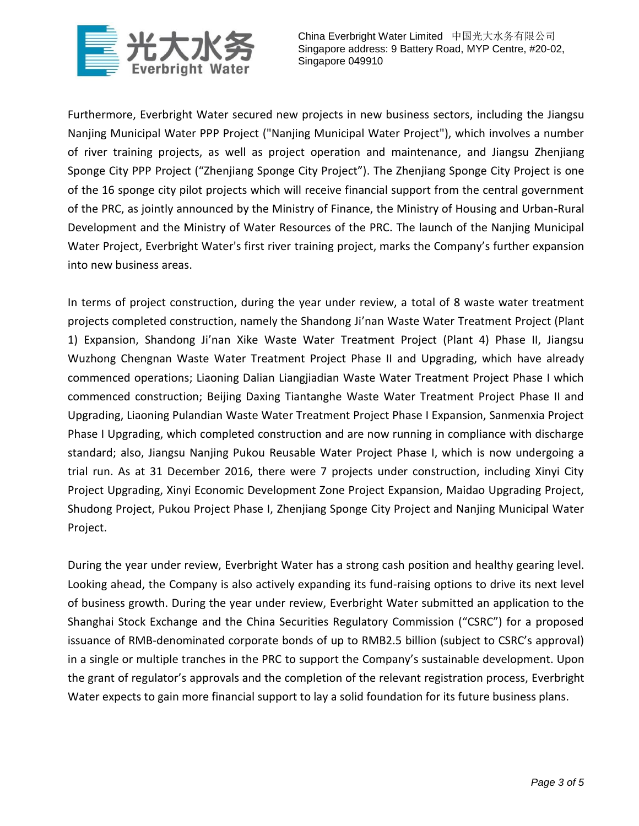

Furthermore, Everbright Water secured new projects in new business sectors, including the Jiangsu Nanjing Municipal Water PPP Project ("Nanjing Municipal Water Project"), which involves a number of river training projects, as well as project operation and maintenance, and Jiangsu Zhenjiang Sponge City PPP Project ("Zhenjiang Sponge City Project"). The Zhenjiang Sponge City Project is one of the 16 sponge city pilot projects which will receive financial support from the central government of the PRC, as jointly announced by the Ministry of Finance, the Ministry of Housing and Urban-Rural Development and the Ministry of Water Resources of the PRC. The launch of the Nanjing Municipal Water Project, Everbright Water's first river training project, marks the Company's further expansion into new business areas.

In terms of project construction, during the year under review, a total of 8 waste water treatment projects completed construction, namely the Shandong Ji'nan Waste Water Treatment Project (Plant 1) Expansion, Shandong Ji'nan Xike Waste Water Treatment Project (Plant 4) Phase II, Jiangsu Wuzhong Chengnan Waste Water Treatment Project Phase II and Upgrading, which have already commenced operations; Liaoning Dalian Liangjiadian Waste Water Treatment Project Phase I which commenced construction; Beijing Daxing Tiantanghe Waste Water Treatment Project Phase II and Upgrading, Liaoning Pulandian Waste Water Treatment Project Phase I Expansion, Sanmenxia Project Phase I Upgrading, which completed construction and are now running in compliance with discharge standard; also, Jiangsu Nanjing Pukou Reusable Water Project Phase I, which is now undergoing a trial run. As at 31 December 2016, there were 7 projects under construction, including Xinyi City Project Upgrading, Xinyi Economic Development Zone Project Expansion, Maidao Upgrading Project, Shudong Project, Pukou Project Phase I, Zhenjiang Sponge City Project and Nanjing Municipal Water Project.

During the year under review, Everbright Water has a strong cash position and healthy gearing level. Looking ahead, the Company is also actively expanding its fund-raising options to drive its next level of business growth. During the year under review, Everbright Water submitted an application to the Shanghai Stock Exchange and the China Securities Regulatory Commission ("CSRC") for a proposed issuance of RMB-denominated corporate bonds of up to RMB2.5 billion (subject to CSRC's approval) in a single or multiple tranches in the PRC to support the Company's sustainable development. Upon the grant of regulator's approvals and the completion of the relevant registration process, Everbright Water expects to gain more financial support to lay a solid foundation for its future business plans.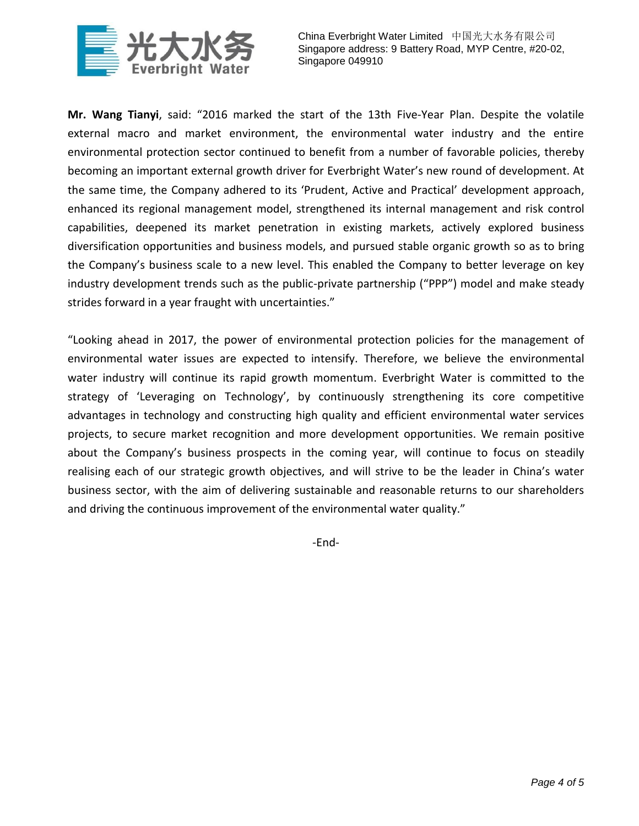

**Mr. Wang Tianyi**, said: "2016 marked the start of the 13th Five-Year Plan. Despite the volatile external macro and market environment, the environmental water industry and the entire environmental protection sector continued to benefit from a number of favorable policies, thereby becoming an important external growth driver for Everbright Water's new round of development. At the same time, the Company adhered to its 'Prudent, Active and Practical' development approach, enhanced its regional management model, strengthened its internal management and risk control capabilities, deepened its market penetration in existing markets, actively explored business diversification opportunities and business models, and pursued stable organic growth so as to bring the Company's business scale to a new level. This enabled the Company to better leverage on key industry development trends such as the public-private partnership ("PPP") model and make steady strides forward in a year fraught with uncertainties."

"Looking ahead in 2017, the power of environmental protection policies for the management of environmental water issues are expected to intensify. Therefore, we believe the environmental water industry will continue its rapid growth momentum. Everbright Water is committed to the strategy of 'Leveraging on Technology', by continuously strengthening its core competitive advantages in technology and constructing high quality and efficient environmental water services projects, to secure market recognition and more development opportunities. We remain positive about the Company's business prospects in the coming year, will continue to focus on steadily realising each of our strategic growth objectives, and will strive to be the leader in China's water business sector, with the aim of delivering sustainable and reasonable returns to our shareholders and driving the continuous improvement of the environmental water quality."

-End-